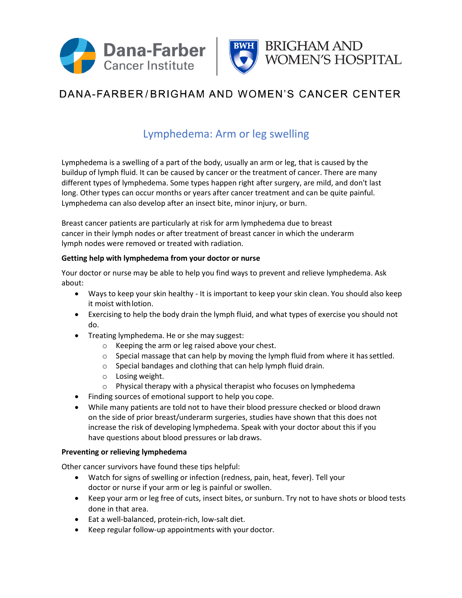



# DANA-FARBER/BRIGHAM AND WOMEN'S CANCER CENTER

### Lymphedema: Arm or leg swelling

Lymphedema is a swelling of a part of the body, usually an arm or leg, that is caused by the buildup of lymph fluid. It can be caused by cancer or the treatment of cancer. There are many different types of lymphedema. Some types happen right after surgery, are mild, and don't last long. Other types can occur months or years after cancer treatment and can be quite painful. Lymphedema can also develop after an insect bite, minor injury, or burn.

Breast cancer patients are particularly at risk for arm lymphedema due to breast cancer in their lymph nodes or after treatment of breast cancer in which the underarm lymph nodes were removed or treated with radiation.

### **Getting help with lymphedema from your doctor or nurse**

Your doctor or nurse may be able to help you find ways to prevent and relieve lymphedema. Ask about:

- Ways to keep your skin healthy It is important to keep your skin clean. You should also keep it moist withlotion.
- Exercising to help the body drain the lymph fluid, and what types of exercise you should not do.
- Treating lymphedema. He or she may suggest:
	- o Keeping the arm or leg raised above your chest.
	- $\circ$  Special massage that can help by moving the lymph fluid from where it has settled.
	- o Special bandages and clothing that can help lymph fluid drain.
	- o Losing weight.
	- o Physical therapy with a physical therapist who focuses on lymphedema
- Finding sources of emotional support to help you cope.
- While many patients are told not to have their blood pressure checked or blood drawn on the side of prior breast/underarm surgeries, studies have shown that this does not increase the risk of developing lymphedema. Speak with your doctor about this if you have questions about blood pressures or lab draws.

#### **Preventing or relieving lymphedema**

Other cancer survivors have found these tips helpful:

- Watch for signs of swelling or infection (redness, pain, heat, fever). Tell your doctor or nurse if your arm or leg is painful or swollen.
- Keep your arm or leg free of cuts, insect bites, or sunburn. Try not to have shots or blood tests done in that area.
- Eat a well-balanced, protein-rich, low-salt diet.
- Keep regular follow-up appointments with your doctor.